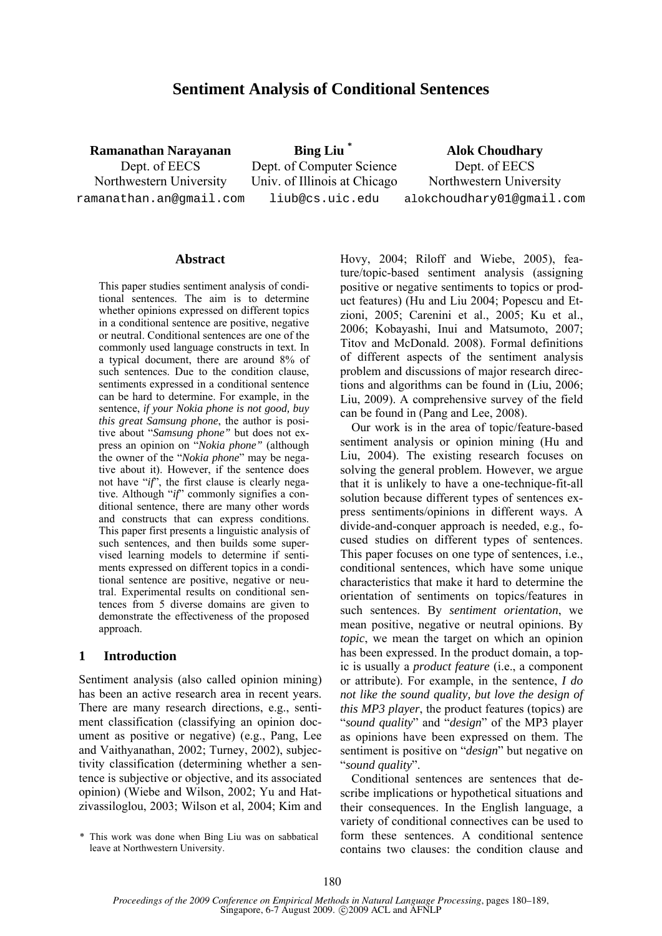# **Sentiment Analysis of Conditional Sentences**

**Ramanathan Narayanan**  Dept. of EECS Northwestern University ramanathan.an@gmail.com

**Bing Liu \*** Dept. of Computer Science Univ. of Illinois at Chicago liub@cs.uic.edu

**Alok Choudhary**  Dept. of EECS Northwestern University alokchoudhary01@gmail.com

#### **Abstract**

This paper studies sentiment analysis of conditional sentences. The aim is to determine whether opinions expressed on different topics in a conditional sentence are positive, negative or neutral. Conditional sentences are one of the commonly used language constructs in text. In a typical document, there are around 8% of such sentences. Due to the condition clause, sentiments expressed in a conditional sentence can be hard to determine. For example, in the sentence, *if your Nokia phone is not good, buy this great Samsung phone*, the author is positive about "*Samsung phone"* but does not express an opinion on "*Nokia phone"* (although the owner of the "*Nokia phone*" may be negative about it). However, if the sentence does not have "*if*", the first clause is clearly negative. Although "*if*" commonly signifies a conditional sentence, there are many other words and constructs that can express conditions. This paper first presents a linguistic analysis of such sentences, and then builds some supervised learning models to determine if sentiments expressed on different topics in a conditional sentence are positive, negative or neutral. Experimental results on conditional sentences from 5 diverse domains are given to demonstrate the effectiveness of the proposed approach.

### **1 Introduction**

Sentiment analysis (also called opinion mining) has been an active research area in recent years. There are many research directions, e.g., sentiment classification (classifying an opinion document as positive or negative) (e.g., Pang, Lee and Vaithyanathan, 2002; Turney, 2002), subjectivity classification (determining whether a sentence is subjective or objective, and its associated opinion) (Wiebe and Wilson, 2002; Yu and Hatzivassiloglou, 2003; Wilson et al, 2004; Kim and

\* This work was done when Bing Liu was on sabbatical leave at Northwestern University.

Hovy, 2004; Riloff and Wiebe, 2005), feature/topic-based sentiment analysis (assigning positive or negative sentiments to topics or product features) (Hu and Liu 2004; Popescu and Etzioni, 2005; Carenini et al., 2005; Ku et al., 2006; Kobayashi, Inui and Matsumoto, 2007; Titov and McDonald. 2008). Formal definitions of different aspects of the sentiment analysis problem and discussions of major research directions and algorithms can be found in (Liu, 2006; Liu, 2009). A comprehensive survey of the field can be found in (Pang and Lee, 2008).

Our work is in the area of topic/feature-based sentiment analysis or opinion mining (Hu and Liu, 2004). The existing research focuses on solving the general problem. However, we argue that it is unlikely to have a one-technique-fit-all solution because different types of sentences express sentiments/opinions in different ways. A divide-and-conquer approach is needed, e.g., focused studies on different types of sentences. This paper focuses on one type of sentences, i.e., conditional sentences, which have some unique characteristics that make it hard to determine the orientation of sentiments on topics/features in such sentences. By *sentiment orientation*, we mean positive, negative or neutral opinions. By *topic*, we mean the target on which an opinion has been expressed. In the product domain, a topic is usually a *product feature* (i.e., a component or attribute). For example, in the sentence, *I do not like the sound quality, but love the design of this MP3 player*, the product features (topics) are "*sound quality*" and "*design*" of the MP3 player as opinions have been expressed on them. The sentiment is positive on "*design*" but negative on "*sound quality*".

Conditional sentences are sentences that describe implications or hypothetical situations and their consequences. In the English language, a variety of conditional connectives can be used to form these sentences. A conditional sentence contains two clauses: the condition clause and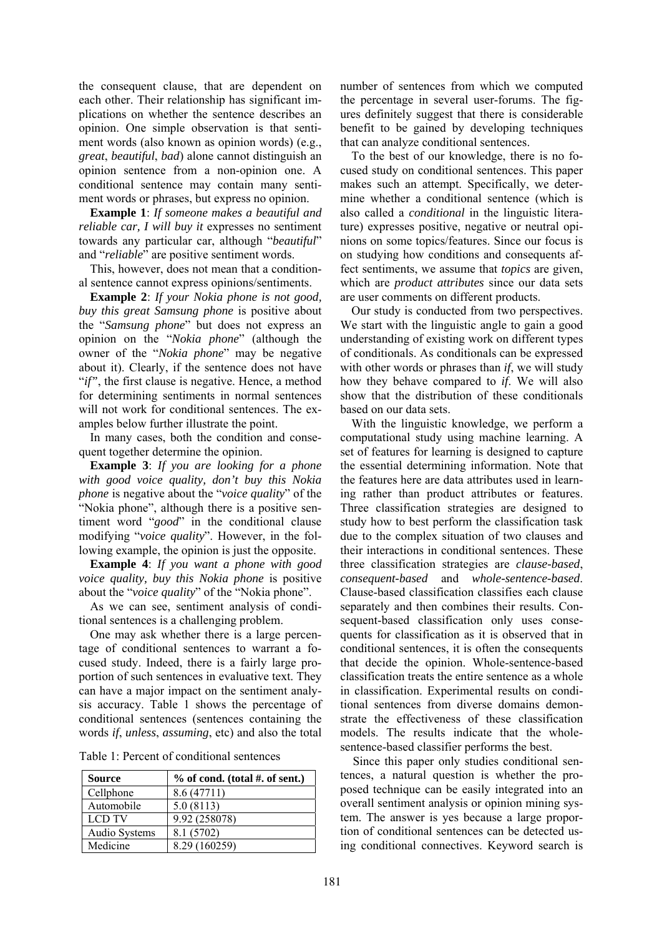the consequent clause, that are dependent on each other. Their relationship has significant implications on whether the sentence describes an opinion. One simple observation is that sentiment words (also known as opinion words) (e.g., *great*, *beautiful*, *bad*) alone cannot distinguish an opinion sentence from a non-opinion one. A conditional sentence may contain many sentiment words or phrases, but express no opinion.

**Example 1**: *If someone makes a beautiful and reliable car, I will buy it* expresses no sentiment towards any particular car, although "*beautiful*" and "*reliable*" are positive sentiment words.

This, however, does not mean that a conditional sentence cannot express opinions/sentiments.

**Example 2**: *If your Nokia phone is not good, buy this great Samsung phone* is positive about the "*Samsung phone*" but does not express an opinion on the "*Nokia phone*" (although the owner of the "*Nokia phone*" may be negative about it). Clearly, if the sentence does not have "*if*", the first clause is negative. Hence, a method for determining sentiments in normal sentences will not work for conditional sentences. The examples below further illustrate the point.

In many cases, both the condition and consequent together determine the opinion.

**Example 3**: *If you are looking for a phone with good voice quality, don't buy this Nokia phone* is negative about the "*voice quality*" of the "Nokia phone", although there is a positive sentiment word "*good*" in the conditional clause modifying "*voice quality*". However, in the following example, the opinion is just the opposite.

**Example 4**: *If you want a phone with good voice quality, buy this Nokia phone* is positive about the "*voice quality*" of the "Nokia phone".

As we can see, sentiment analysis of conditional sentences is a challenging problem.

One may ask whether there is a large percentage of conditional sentences to warrant a focused study. Indeed, there is a fairly large proportion of such sentences in evaluative text. They can have a major impact on the sentiment analysis accuracy. Table 1 shows the percentage of conditional sentences (sentences containing the words *if*, *unless*, *assuming*, etc) and also the total

| Table 1: Percent of conditional sentences |  |  |  |  |  |  |
|-------------------------------------------|--|--|--|--|--|--|
|-------------------------------------------|--|--|--|--|--|--|

| <b>Source</b> | $%$ of cond. (total #. of sent.) |
|---------------|----------------------------------|
| Cellphone     | 8.6 (47711)                      |
| Automobile    | 5.0(8113)                        |
| <b>LCD TV</b> | 9.92 (258078)                    |
| Audio Systems | 8.1 (5702)                       |
| Medicine      | 8.29 (160259)                    |

number of sentences from which we computed the percentage in several user-forums. The figures definitely suggest that there is considerable benefit to be gained by developing techniques that can analyze conditional sentences.

To the best of our knowledge, there is no focused study on conditional sentences. This paper makes such an attempt. Specifically, we determine whether a conditional sentence (which is also called a *conditional* in the linguistic literature) expresses positive, negative or neutral opinions on some topics/features. Since our focus is on studying how conditions and consequents affect sentiments, we assume that *topics* are given, which are *product attributes* since our data sets are user comments on different products.

Our study is conducted from two perspectives. We start with the linguistic angle to gain a good understanding of existing work on different types of conditionals. As conditionals can be expressed with other words or phrases than *if*, we will study how they behave compared to *if*. We will also show that the distribution of these conditionals based on our data sets.

With the linguistic knowledge, we perform a computational study using machine learning. A set of features for learning is designed to capture the essential determining information. Note that the features here are data attributes used in learning rather than product attributes or features. Three classification strategies are designed to study how to best perform the classification task due to the complex situation of two clauses and their interactions in conditional sentences. These three classification strategies are *clause-based*, *consequent-based* and *whole-sentence-based*. Clause-based classification classifies each clause separately and then combines their results. Consequent-based classification only uses consequents for classification as it is observed that in conditional sentences, it is often the consequents that decide the opinion. Whole-sentence-based classification treats the entire sentence as a whole in classification. Experimental results on conditional sentences from diverse domains demonstrate the effectiveness of these classification models. The results indicate that the wholesentence-based classifier performs the best.

Since this paper only studies conditional sentences, a natural question is whether the proposed technique can be easily integrated into an overall sentiment analysis or opinion mining system. The answer is yes because a large proportion of conditional sentences can be detected using conditional connectives. Keyword search is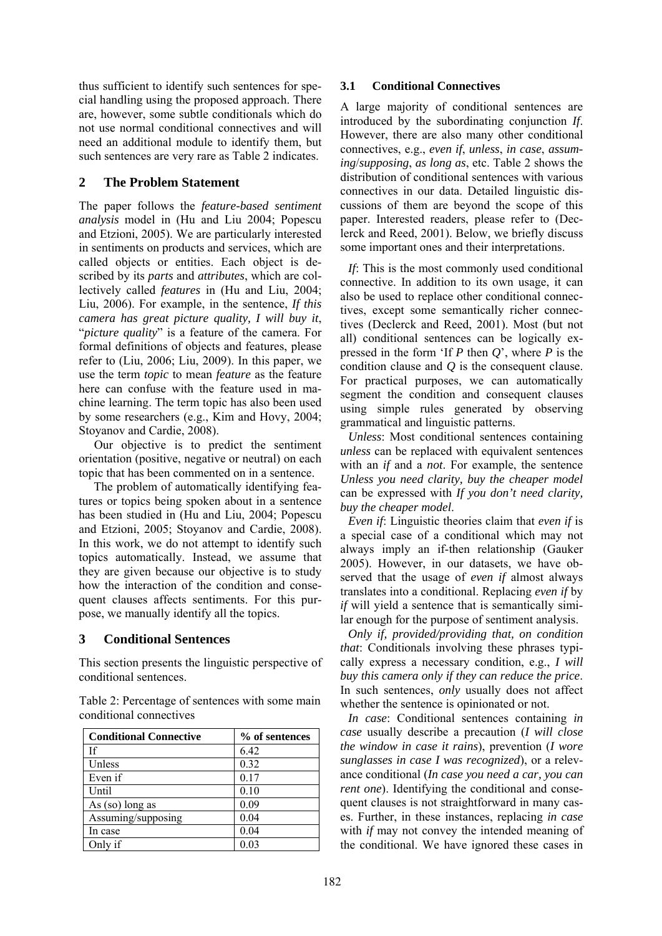thus sufficient to identify such sentences for special handling using the proposed approach. There are, however, some subtle conditionals which do not use normal conditional connectives and will need an additional module to identify them, but such sentences are very rare as Table 2 indicates.

## **2 The Problem Statement**

The paper follows the *feature-based sentiment analysis* model in (Hu and Liu 2004; Popescu and Etzioni, 2005). We are particularly interested in sentiments on products and services, which are called objects or entities. Each object is described by its *parts* and *attributes*, which are collectively called *features* in (Hu and Liu, 2004; Liu, 2006). For example, in the sentence, *If this camera has great picture quality, I will buy it*, "*picture quality*" is a feature of the camera. For formal definitions of objects and features, please refer to (Liu, 2006; Liu, 2009). In this paper, we use the term *topic* to mean *feature* as the feature here can confuse with the feature used in machine learning. The term topic has also been used by some researchers (e.g., Kim and Hovy, 2004; Stoyanov and Cardie, 2008).

Our objective is to predict the sentiment orientation (positive, negative or neutral) on each topic that has been commented on in a sentence.

The problem of automatically identifying features or topics being spoken about in a sentence has been studied in (Hu and Liu, 2004; Popescu and Etzioni, 2005; Stoyanov and Cardie, 2008). In this work, we do not attempt to identify such topics automatically. Instead, we assume that they are given because our objective is to study how the interaction of the condition and consequent clauses affects sentiments. For this purpose, we manually identify all the topics.

# **3 Conditional Sentences**

This section presents the linguistic perspective of conditional sentences.

Table 2: Percentage of sentences with some main conditional connectives

| <b>Conditional Connective</b> | % of sentences |
|-------------------------------|----------------|
| Īf                            | 6.42           |
| Unless                        | 0.32           |
| Even if                       | 0.17           |
| Until                         | 0.10           |
| As (so) long as               | 0.09           |
| Assuming/supposing            | 0.04           |
| In case                       | 0.04           |
| Only if                       | 0.03           |

# **3.1 Conditional Connectives**

A large majority of conditional sentences are introduced by the subordinating conjunction *If*. However, there are also many other conditional connectives, e.g., *even if*, *unless*, *in case*, *assuming*/*supposing*, *as long as*, etc. Table 2 shows the distribution of conditional sentences with various connectives in our data. Detailed linguistic discussions of them are beyond the scope of this paper. Interested readers, please refer to (Declerck and Reed, 2001). Below, we briefly discuss some important ones and their interpretations.

*If*: This is the most commonly used conditional connective. In addition to its own usage, it can also be used to replace other conditional connectives, except some semantically richer connectives (Declerck and Reed, 2001). Most (but not all) conditional sentences can be logically expressed in the form 'If *P* then *Q*', where *P* is the condition clause and *Q* is the consequent clause. For practical purposes, we can automatically segment the condition and consequent clauses using simple rules generated by observing grammatical and linguistic patterns.

*Unless*: Most conditional sentences containing *unless* can be replaced with equivalent sentences with an *if* and a *not*. For example, the sentence *Unless you need clarity, buy the cheaper model* can be expressed with *If you don't need clarity, buy the cheaper model*.

*Even if*: Linguistic theories claim that *even if* is a special case of a conditional which may not always imply an if-then relationship (Gauker 2005). However, in our datasets, we have observed that the usage of *even if* almost always translates into a conditional. Replacing *even if* by *if* will yield a sentence that is semantically similar enough for the purpose of sentiment analysis.

*Only if, provided/providing that, on condition that*: Conditionals involving these phrases typically express a necessary condition, e.g., *I will buy this camera only if they can reduce the price*. In such sentences, *only* usually does not affect whether the sentence is opinionated or not.

*In case*: Conditional sentences containing *in case* usually describe a precaution (*I will close the window in case it rains*), prevention (*I wore sunglasses in case I was recognized*), or a relevance conditional (*In case you need a car, you can rent one*). Identifying the conditional and consequent clauses is not straightforward in many cases. Further, in these instances, replacing *in case* with *if* may not convey the intended meaning of the conditional. We have ignored these cases in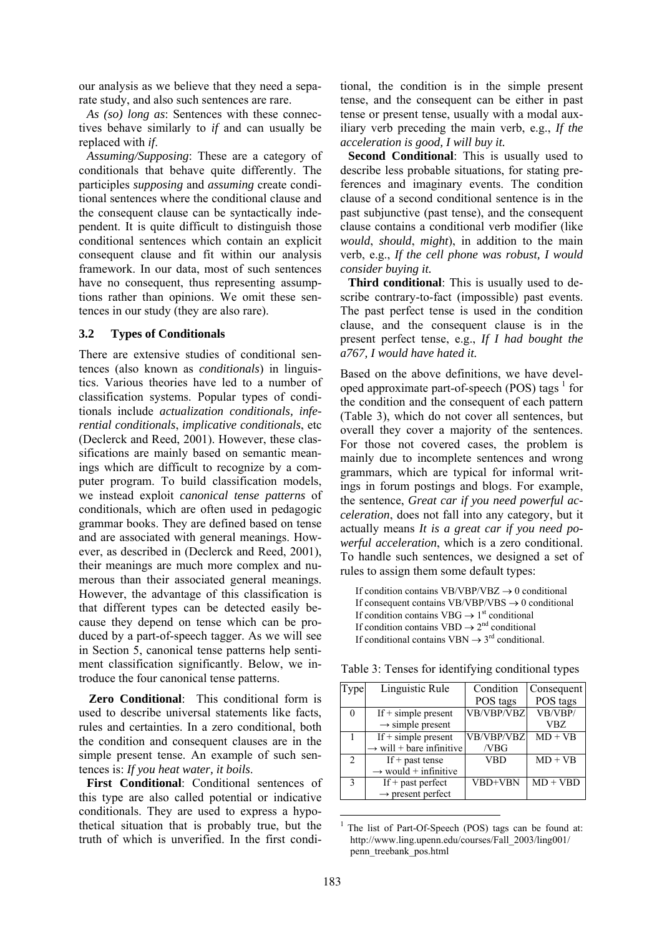our analysis as we believe that they need a separate study, and also such sentences are rare.

*As (so) long as*: Sentences with these connectives behave similarly to *if* and can usually be replaced with *if*.

*Assuming/Supposing*: These are a category of conditionals that behave quite differently. The participles *supposing* and *assuming* create conditional sentences where the conditional clause and the consequent clause can be syntactically independent. It is quite difficult to distinguish those conditional sentences which contain an explicit consequent clause and fit within our analysis framework. In our data, most of such sentences have no consequent, thus representing assumptions rather than opinions. We omit these sentences in our study (they are also rare).

### **3.2 Types of Conditionals**

There are extensive studies of conditional sentences (also known as *conditionals*) in linguistics. Various theories have led to a number of classification systems. Popular types of conditionals include *actualization conditionals, inferential conditionals*, *implicative conditionals*, etc (Declerck and Reed, 2001). However, these classifications are mainly based on semantic meanings which are difficult to recognize by a computer program. To build classification models, we instead exploit *canonical tense patterns* of conditionals, which are often used in pedagogic grammar books. They are defined based on tense and are associated with general meanings. However, as described in (Declerck and Reed, 2001), their meanings are much more complex and numerous than their associated general meanings. However, the advantage of this classification is that different types can be detected easily because they depend on tense which can be produced by a part-of-speech tagger. As we will see in Section 5, canonical tense patterns help sentiment classification significantly. Below, we introduce the four canonical tense patterns.

**Zero Conditional**: This conditional form is used to describe universal statements like facts, rules and certainties. In a zero conditional, both the condition and consequent clauses are in the simple present tense. An example of such sentences is: *If you heat water, it boils*.

**First Conditional**: Conditional sentences of this type are also called potential or indicative conditionals. They are used to express a hypothetical situation that is probably true, but the truth of which is unverified. In the first conditional, the condition is in the simple present tense, and the consequent can be either in past tense or present tense, usually with a modal auxiliary verb preceding the main verb, e.g., *If the acceleration is good, I will buy it.* 

**Second Conditional**: This is usually used to describe less probable situations, for stating preferences and imaginary events. The condition clause of a second conditional sentence is in the past subjunctive (past tense), and the consequent clause contains a conditional verb modifier (like *would*, *should*, *might*), in addition to the main verb, e.g., *If the cell phone was robust, I would consider buying it.* 

**Third conditional**: This is usually used to describe contrary-to-fact (impossible) past events. The past perfect tense is used in the condition clause, and the consequent clause is in the present perfect tense, e.g., *If I had bought the a767, I would have hated it.* 

Based on the above definitions, we have developed approximate part-of-speech (POS) tags  $<sup>1</sup>$  for</sup> the condition and the consequent of each pattern (Table 3), which do not cover all sentences, but overall they cover a majority of the sentences. For those not covered cases, the problem is mainly due to incomplete sentences and wrong grammars, which are typical for informal writings in forum postings and blogs. For example, the sentence, *Great car if you need powerful acceleration*, does not fall into any category, but it actually means *It is a great car if you need powerful acceleration*, which is a zero conditional. To handle such sentences, we designed a set of rules to assign them some default types:

If condition contains VB/VBP/VBZ  $\rightarrow$  0 conditional If consequent contains VB/VBP/VBS  $\rightarrow$  0 conditional If condition contains VBG  $\rightarrow$  1<sup>st</sup> conditional If condition contains VBD  $\rightarrow$  2<sup>nd</sup> conditional If conditional contains VBN  $\rightarrow$  3<sup>rd</sup> conditional.

|  |  | Table 3: Tenses for identifying conditional types |  |
|--|--|---------------------------------------------------|--|
|  |  |                                                   |  |

| Type                          | Linguistic Rule                      | Condition  | Consequent |
|-------------------------------|--------------------------------------|------------|------------|
|                               |                                      | POS tags   | POS tags   |
| 0                             | If $+$ simple present                | VB/VBP/VBZ | VB/VBP/    |
|                               | $\rightarrow$ simple present         |            | VBZ        |
|                               | $\overline{If +}$ simple present     | VB/VBP/VBZ | $MD + VB$  |
|                               | $\rightarrow$ will + bare infinitive | /VBG       |            |
| $\mathfrak{D}_{\mathfrak{p}}$ | If $+$ past tense                    | <b>VBD</b> | $MD + VB$  |
|                               | $\rightarrow$ would + infinitive     |            |            |
| $\mathbf{3}$                  | If $+$ past perfect                  | VBD+VBN    | $MD + VBD$ |
|                               | $\rightarrow$ present perfect        |            |            |

The list of Part-Of-Speech (POS) tags can be found at: http://www.ling.upenn.edu/courses/Fall\_2003/ling001/ penn\_treebank\_pos.html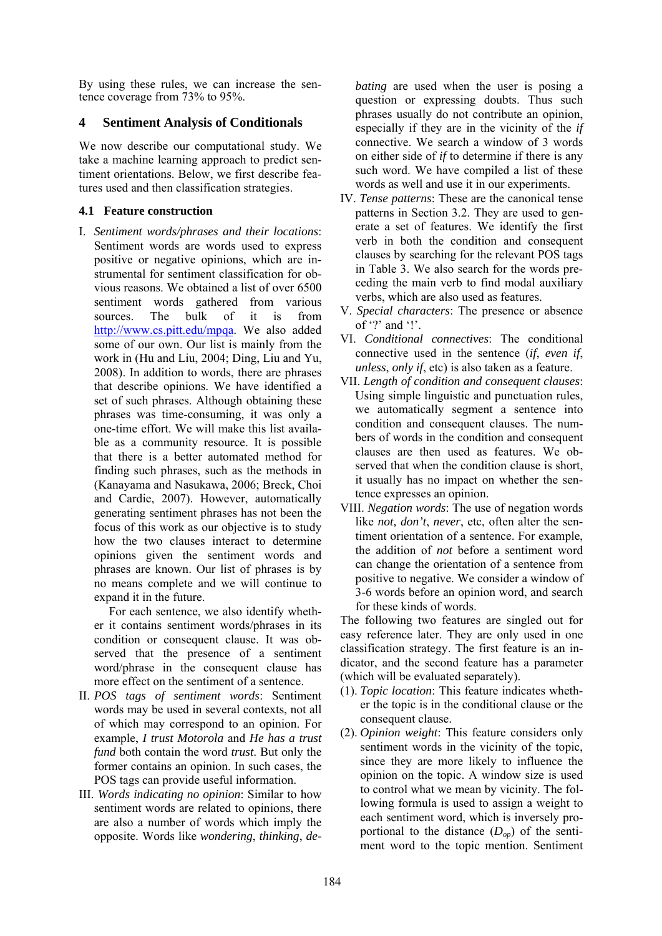By using these rules, we can increase the sentence coverage from 73% to 95%.

# **4 Sentiment Analysis of Conditionals**

We now describe our computational study. We take a machine learning approach to predict sentiment orientations. Below, we first describe features used and then classification strategies.

# **4.1 Feature construction**

I. *Sentiment words/phrases and their locations*: Sentiment words are words used to express positive or negative opinions, which are instrumental for sentiment classification for obvious reasons. We obtained a list of over 6500 sentiment words gathered from various sources. The bulk of it is from http://www.cs.pitt.edu/mpqa. We also added some of our own. Our list is mainly from the work in (Hu and Liu, 2004; Ding, Liu and Yu, 2008). In addition to words, there are phrases that describe opinions. We have identified a set of such phrases. Although obtaining these phrases was time-consuming, it was only a one-time effort. We will make this list available as a community resource. It is possible that there is a better automated method for finding such phrases, such as the methods in (Kanayama and Nasukawa, 2006; Breck, Choi and Cardie, 2007). However, automatically generating sentiment phrases has not been the focus of this work as our objective is to study how the two clauses interact to determine opinions given the sentiment words and phrases are known. Our list of phrases is by no means complete and we will continue to expand it in the future.

For each sentence, we also identify whether it contains sentiment words/phrases in its condition or consequent clause. It was observed that the presence of a sentiment word/phrase in the consequent clause has more effect on the sentiment of a sentence.

- II. *POS tags of sentiment words*: Sentiment words may be used in several contexts, not all of which may correspond to an opinion. For example, *I trust Motorola* and *He has a trust fund* both contain the word *trust*. But only the former contains an opinion. In such cases, the POS tags can provide useful information.
- III. *Words indicating no opinion*: Similar to how sentiment words are related to opinions, there are also a number of words which imply the opposite. Words like *wondering*, *thinking*, *de-*

*bating* are used when the user is posing a question or expressing doubts. Thus such phrases usually do not contribute an opinion, especially if they are in the vicinity of the *if* connective. We search a window of 3 words on either side of *if* to determine if there is any such word. We have compiled a list of these words as well and use it in our experiments.

- IV. *Tense patterns*: These are the canonical tense patterns in Section 3.2. They are used to generate a set of features. We identify the first verb in both the condition and consequent clauses by searching for the relevant POS tags in Table 3. We also search for the words preceding the main verb to find modal auxiliary verbs, which are also used as features.
- V. *Special characters*: The presence or absence of '?' and '!'.
- VI. *Conditional connectives*: The conditional connective used in the sentence (*if*, *even if*, *unless*, *only if*, etc) is also taken as a feature.
- VII. *Length of condition and consequent clauses*: Using simple linguistic and punctuation rules, we automatically segment a sentence into condition and consequent clauses. The numbers of words in the condition and consequent clauses are then used as features. We observed that when the condition clause is short, it usually has no impact on whether the sentence expresses an opinion.
- VIII. *Negation words*: The use of negation words like *not, don't*, *never*, etc, often alter the sentiment orientation of a sentence. For example, the addition of *not* before a sentiment word can change the orientation of a sentence from positive to negative. We consider a window of 3-6 words before an opinion word, and search for these kinds of words.

The following two features are singled out for easy reference later. They are only used in one classification strategy. The first feature is an indicator, and the second feature has a parameter (which will be evaluated separately).

- (1). *Topic location*: This feature indicates whether the topic is in the conditional clause or the consequent clause.
- (2). *Opinion weight*: This feature considers only sentiment words in the vicinity of the topic, since they are more likely to influence the opinion on the topic. A window size is used to control what we mean by vicinity. The following formula is used to assign a weight to each sentiment word, which is inversely proportional to the distance  $(D_{op})$  of the sentiment word to the topic mention. Sentiment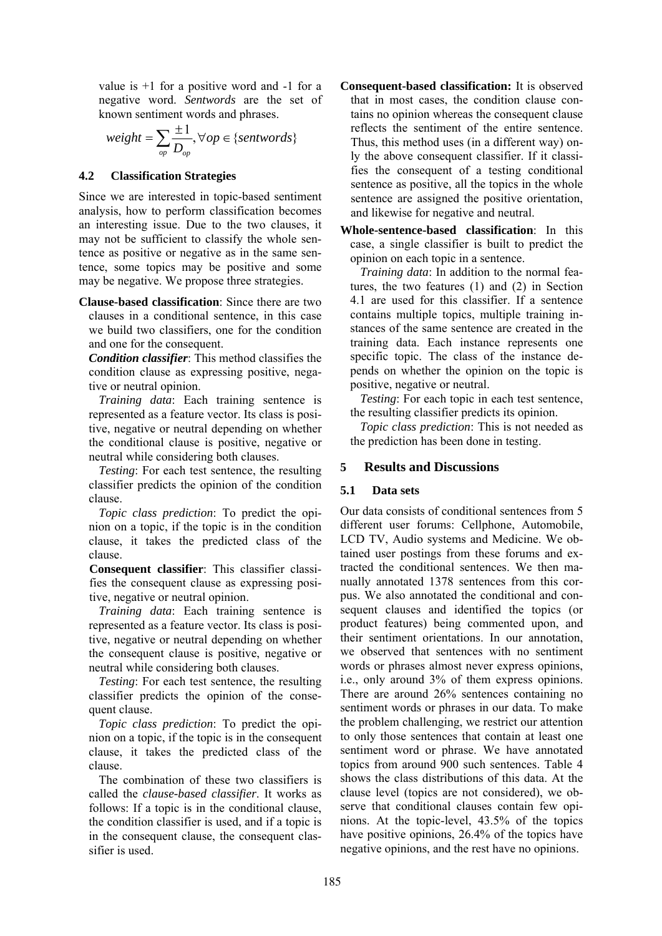value is  $+1$  for a positive word and  $-1$  for a negative word. *Sentwords* are the set of known sentiment words and phrases.

$$
weight = \sum_{op} \frac{\pm 1}{D_{op}}, \forall op \in \{sentwords\}
$$

## **4.2 Classification Strategies**

Since we are interested in topic-based sentiment analysis, how to perform classification becomes an interesting issue. Due to the two clauses, it may not be sufficient to classify the whole sentence as positive or negative as in the same sentence, some topics may be positive and some may be negative. We propose three strategies.

**Clause-based classification**: Since there are two clauses in a conditional sentence, in this case we build two classifiers, one for the condition and one for the consequent.

*Condition classifier*: This method classifies the condition clause as expressing positive, negative or neutral opinion.

*Training data*: Each training sentence is represented as a feature vector. Its class is positive, negative or neutral depending on whether the conditional clause is positive, negative or neutral while considering both clauses.

*Testing*: For each test sentence, the resulting classifier predicts the opinion of the condition clause.

*Topic class prediction*: To predict the opinion on a topic, if the topic is in the condition clause, it takes the predicted class of the clause.

**Consequent classifier**: This classifier classifies the consequent clause as expressing positive, negative or neutral opinion.

*Training data*: Each training sentence is represented as a feature vector. Its class is positive, negative or neutral depending on whether the consequent clause is positive, negative or neutral while considering both clauses.

*Testing*: For each test sentence, the resulting classifier predicts the opinion of the consequent clause.

*Topic class prediction*: To predict the opinion on a topic, if the topic is in the consequent clause, it takes the predicted class of the clause.

The combination of these two classifiers is called the *clause-based classifier*. It works as follows: If a topic is in the conditional clause, the condition classifier is used, and if a topic is in the consequent clause, the consequent classifier is used.

**Consequent-based classification:** It is observed that in most cases, the condition clause contains no opinion whereas the consequent clause reflects the sentiment of the entire sentence. Thus, this method uses (in a different way) only the above consequent classifier. If it classifies the consequent of a testing conditional sentence as positive, all the topics in the whole sentence are assigned the positive orientation, and likewise for negative and neutral.

**Whole-sentence-based classification**: In this case, a single classifier is built to predict the opinion on each topic in a sentence.

*Training data*: In addition to the normal features, the two features (1) and (2) in Section 4.1 are used for this classifier. If a sentence contains multiple topics, multiple training instances of the same sentence are created in the training data. Each instance represents one specific topic. The class of the instance depends on whether the opinion on the topic is positive, negative or neutral.

*Testing*: For each topic in each test sentence, the resulting classifier predicts its opinion.

*Topic class prediction*: This is not needed as the prediction has been done in testing.

#### **5 Results and Discussions**

#### **5.1 Data sets**

Our data consists of conditional sentences from 5 different user forums: Cellphone, Automobile, LCD TV, Audio systems and Medicine. We obtained user postings from these forums and extracted the conditional sentences. We then manually annotated 1378 sentences from this corpus. We also annotated the conditional and consequent clauses and identified the topics (or product features) being commented upon, and their sentiment orientations. In our annotation, we observed that sentences with no sentiment words or phrases almost never express opinions, i.e., only around 3% of them express opinions. There are around 26% sentences containing no sentiment words or phrases in our data. To make the problem challenging, we restrict our attention to only those sentences that contain at least one sentiment word or phrase. We have annotated topics from around 900 such sentences. Table 4 shows the class distributions of this data. At the clause level (topics are not considered), we observe that conditional clauses contain few opinions. At the topic-level, 43.5% of the topics have positive opinions, 26.4% of the topics have negative opinions, and the rest have no opinions.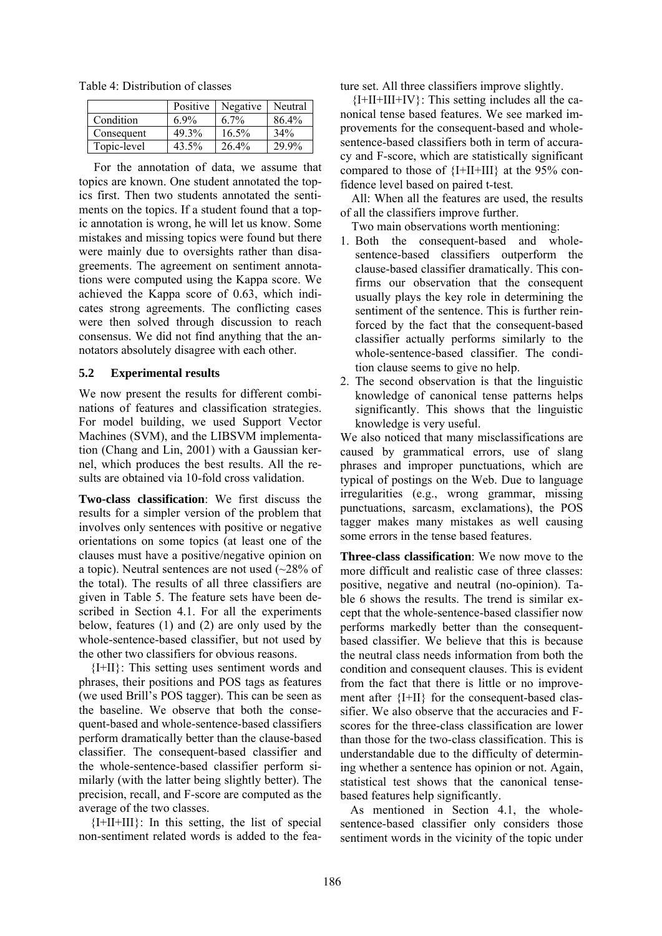|             | Positive | Negative | Neutral |
|-------------|----------|----------|---------|
| Condition   | $6.9\%$  | 67%      | 86.4%   |
| Consequent  | 49.3%    | 16.5%    | 34%     |
| Topic-level | 43.5%    | 26.4%    | 29.9%   |

Table 4: Distribution of classes

For the annotation of data, we assume that topics are known. One student annotated the topics first. Then two students annotated the sentiments on the topics. If a student found that a topic annotation is wrong, he will let us know. Some mistakes and missing topics were found but there were mainly due to oversights rather than disagreements. The agreement on sentiment annotations were computed using the Kappa score. We achieved the Kappa score of 0.63, which indicates strong agreements. The conflicting cases were then solved through discussion to reach consensus. We did not find anything that the annotators absolutely disagree with each other.

## **5.2 Experimental results**

We now present the results for different combinations of features and classification strategies. For model building, we used Support Vector Machines (SVM), and the LIBSVM implementation (Chang and Lin, 2001) with a Gaussian kernel, which produces the best results. All the results are obtained via 10-fold cross validation.

**Two-class classification**: We first discuss the results for a simpler version of the problem that involves only sentences with positive or negative orientations on some topics (at least one of the clauses must have a positive/negative opinion on a topic). Neutral sentences are not used (~28% of the total). The results of all three classifiers are given in Table 5. The feature sets have been described in Section 4.1. For all the experiments below, features (1) and (2) are only used by the whole-sentence-based classifier, but not used by the other two classifiers for obvious reasons.

{I+II}: This setting uses sentiment words and phrases, their positions and POS tags as features (we used Brill's POS tagger). This can be seen as the baseline. We observe that both the consequent-based and whole-sentence-based classifiers perform dramatically better than the clause-based classifier. The consequent-based classifier and the whole-sentence-based classifier perform similarly (with the latter being slightly better). The precision, recall, and F-score are computed as the average of the two classes.

 ${I+II+III}$ : In this setting, the list of special non-sentiment related words is added to the feature set. All three classifiers improve slightly.

{I+II+III+IV}: This setting includes all the canonical tense based features. We see marked improvements for the consequent-based and wholesentence-based classifiers both in term of accuracy and F-score, which are statistically significant compared to those of {I+II+III} at the 95% confidence level based on paired t-test.

All: When all the features are used, the results of all the classifiers improve further.

Two main observations worth mentioning:

- 1. Both the consequent-based and wholesentence-based classifiers outperform the clause-based classifier dramatically. This confirms our observation that the consequent usually plays the key role in determining the sentiment of the sentence. This is further reinforced by the fact that the consequent-based classifier actually performs similarly to the whole-sentence-based classifier. The condition clause seems to give no help.
- 2. The second observation is that the linguistic knowledge of canonical tense patterns helps significantly. This shows that the linguistic knowledge is very useful.

We also noticed that many misclassifications are caused by grammatical errors, use of slang phrases and improper punctuations, which are typical of postings on the Web. Due to language irregularities (e.g., wrong grammar, missing punctuations, sarcasm, exclamations), the POS tagger makes many mistakes as well causing some errors in the tense based features.

**Three-class classification**: We now move to the more difficult and realistic case of three classes: positive, negative and neutral (no-opinion). Table 6 shows the results. The trend is similar except that the whole-sentence-based classifier now performs markedly better than the consequentbased classifier. We believe that this is because the neutral class needs information from both the condition and consequent clauses. This is evident from the fact that there is little or no improvement after {I+II} for the consequent-based classifier. We also observe that the accuracies and Fscores for the three-class classification are lower than those for the two-class classification. This is understandable due to the difficulty of determining whether a sentence has opinion or not. Again, statistical test shows that the canonical tensebased features help significantly.

As mentioned in Section 4.1, the wholesentence-based classifier only considers those sentiment words in the vicinity of the topic under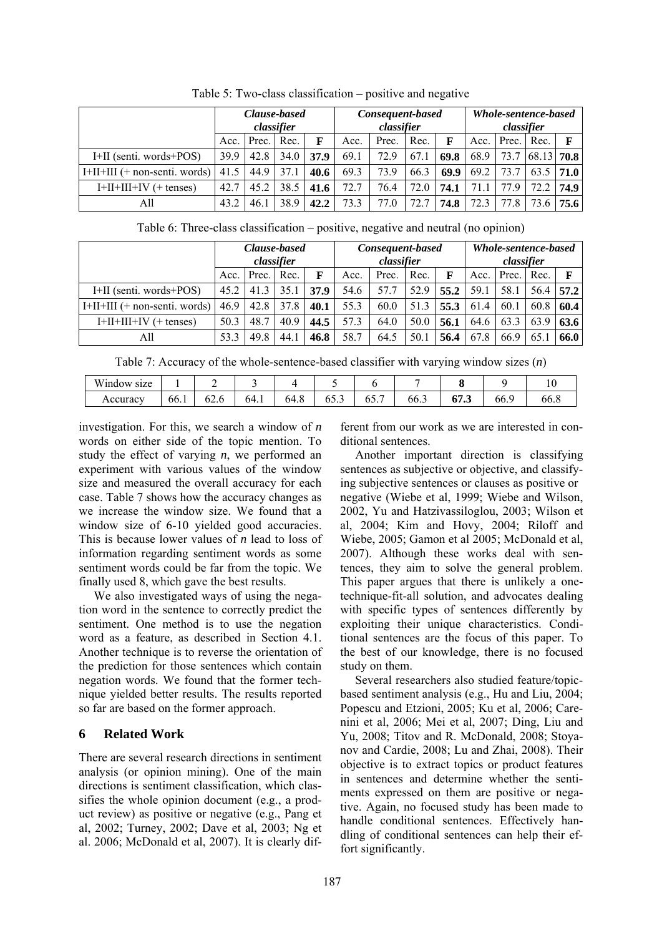|                                 |      | Clause-based<br>classifier |      |      |      | Consequent-based<br>classifier |      | Whole-sentence-based<br>classifier |      |       |               |      |
|---------------------------------|------|----------------------------|------|------|------|--------------------------------|------|------------------------------------|------|-------|---------------|------|
|                                 | Acc. | Rec.<br>Prec.<br>F         |      |      |      | Prec.                          | Rec. | F                                  | Acc. | Prec. | Rec.          | F    |
| I+II (senti. words+POS)         | 39.9 | 42.8                       | 34.0 | 37.9 | 69.1 | 72.9                           | 67.1 | 69.8                               | 68.9 | 73.7  | $68.13$ 70.8  |      |
| $I+II+III$ (+ non-senti. words) | 41.5 | 44.9                       | 37.1 | 40.6 | 69.3 | 73.9                           | 66.3 | 69.9                               | 69.2 | 73.7  | $63.5$   71.0 |      |
| $I+II+III+IV$ (+ tenses)        | 42.7 | 45.2                       | 38.5 | 41.6 | 72.7 | 76.4                           | 72.0 | 74.1                               |      | 77.9  | 72.2          | 74.9 |
| All                             | 43.2 | 46.1                       | 38.9 | 42.2 | 73.3 | 77.0                           | 72.7 | 74.8                               | 72.3 | 77.8  |               | 75.6 |

Table 5: Two-class classification – positive and negative

|  |  |  |  | Table 6: Three-class classification – positive, negative and neutral (no opinion) |  |  |  |
|--|--|--|--|-----------------------------------------------------------------------------------|--|--|--|
|  |  |  |  |                                                                                   |  |  |  |
|  |  |  |  |                                                                                   |  |  |  |
|  |  |  |  |                                                                                   |  |  |  |

|                                     |      | Clause-based<br>classifier |      |      |      | Consequent-based<br>classifier | Whole-sentence-based<br>classifier |      |                        |       |      |             |
|-------------------------------------|------|----------------------------|------|------|------|--------------------------------|------------------------------------|------|------------------------|-------|------|-------------|
|                                     | Acc. | Prec.                      | Rec. | F    | Acc. | Prec.                          | Rec.                               |      | Acc.                   | Prec. | Rec. | $\mathbf F$ |
| I <sup>+II</sup> (senti. words+POS) | 45.2 | 41.3                       | 35.1 | 37.9 | 54.6 | 57.7                           | 52.9                               | 55.2 | 59.1                   | 58.1  | 56.4 | 57.2        |
| $I+II+III$ (+ non-senti. words)     | 46.9 | 42.8                       | 37.8 | 40.1 | 55.3 | 60.0                           | 51.3                               | 55.3 | 61.4                   | 60.1  | 60.8 | 60.4        |
| $I+II+III+IV$ (+ tenses)            | 50.3 | 48.7                       | 40.9 | 44.5 | 57.3 | 64.0                           | 50.0                               | 56.1 | 64.6                   | 63.3  | 63.9 | 63.6        |
| All                                 | 53.3 | 49.8                       | 44.1 | 46.8 | 58.7 | 64.5                           | 50.1                               | 56.4 | 67.<br>$.8\phantom{0}$ | 66.9  | 65.1 | 66.0        |

Table 7: Accuracy of the whole-sentence-based classifier with varying window sizes (*n*)

| Window.<br>size | -    | -          |      |                |           |          |                  |                   |                | 1 V  |
|-----------------|------|------------|------|----------------|-----------|----------|------------------|-------------------|----------------|------|
| Accuracy        | 66.1 | ۰,<br>62.6 | 64.I | h4<br>4.0<br>ັ | -<br>63.I | -<br>OD. | - 1<br>-<br>66.3 | --<br>-<br>∪ / •⊾ | $\sim$<br>00.5 | 66.8 |

investigation. For this, we search a window of *n* words on either side of the topic mention. To study the effect of varying *n*, we performed an experiment with various values of the window size and measured the overall accuracy for each case. Table 7 shows how the accuracy changes as we increase the window size. We found that a window size of 6-10 yielded good accuracies. This is because lower values of *n* lead to loss of information regarding sentiment words as some sentiment words could be far from the topic. We finally used 8, which gave the best results.

We also investigated ways of using the negation word in the sentence to correctly predict the sentiment. One method is to use the negation word as a feature, as described in Section 4.1. Another technique is to reverse the orientation of the prediction for those sentences which contain negation words. We found that the former technique yielded better results. The results reported so far are based on the former approach.

# **6 Related Work**

There are several research directions in sentiment analysis (or opinion mining). One of the main directions is sentiment classification, which classifies the whole opinion document (e.g., a product review) as positive or negative (e.g., Pang et al, 2002; Turney, 2002; Dave et al, 2003; Ng et al. 2006; McDonald et al, 2007). It is clearly dif-

ferent from our work as we are interested in conditional sentences.

Another important direction is classifying sentences as subjective or objective, and classifying subjective sentences or clauses as positive or negative (Wiebe et al, 1999; Wiebe and Wilson, 2002, Yu and Hatzivassiloglou, 2003; Wilson et al, 2004; Kim and Hovy, 2004; Riloff and Wiebe, 2005; Gamon et al 2005; McDonald et al, 2007). Although these works deal with sentences, they aim to solve the general problem. This paper argues that there is unlikely a onetechnique-fit-all solution, and advocates dealing with specific types of sentences differently by exploiting their unique characteristics. Conditional sentences are the focus of this paper. To the best of our knowledge, there is no focused study on them.

Several researchers also studied feature/topicbased sentiment analysis (e.g., Hu and Liu, 2004; Popescu and Etzioni, 2005; Ku et al, 2006; Carenini et al, 2006; Mei et al, 2007; Ding, Liu and Yu, 2008; Titov and R. McDonald, 2008; Stoyanov and Cardie, 2008; Lu and Zhai, 2008). Their objective is to extract topics or product features in sentences and determine whether the sentiments expressed on them are positive or negative. Again, no focused study has been made to handle conditional sentences. Effectively handling of conditional sentences can help their effort significantly.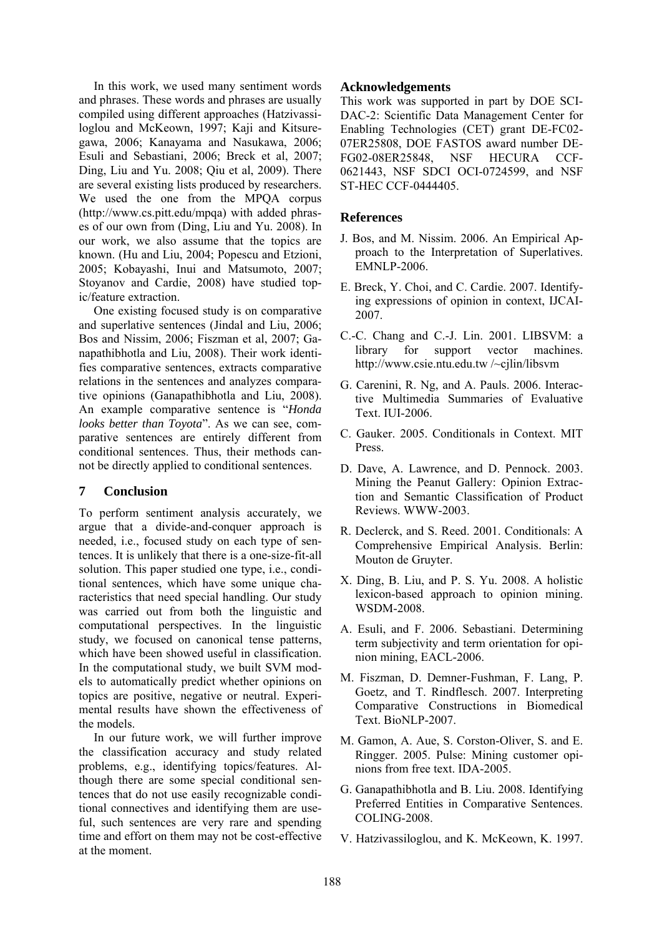In this work, we used many sentiment words and phrases. These words and phrases are usually compiled using different approaches (Hatzivassiloglou and McKeown, 1997; Kaji and Kitsuregawa, 2006; Kanayama and Nasukawa, 2006; Esuli and Sebastiani, 2006; Breck et al, 2007; Ding, Liu and Yu. 2008; Qiu et al, 2009). There are several existing lists produced by researchers. We used the one from the MPQA corpus (http://www.cs.pitt.edu/mpqa) with added phrases of our own from (Ding, Liu and Yu. 2008). In our work, we also assume that the topics are known. (Hu and Liu, 2004; Popescu and Etzioni, 2005; Kobayashi, Inui and Matsumoto, 2007; Stoyanov and Cardie, 2008) have studied topic/feature extraction.

One existing focused study is on comparative and superlative sentences (Jindal and Liu, 2006; Bos and Nissim, 2006; Fiszman et al, 2007; Ganapathibhotla and Liu, 2008). Their work identifies comparative sentences, extracts comparative relations in the sentences and analyzes comparative opinions (Ganapathibhotla and Liu, 2008). An example comparative sentence is "*Honda looks better than Toyota*". As we can see, comparative sentences are entirely different from conditional sentences. Thus, their methods cannot be directly applied to conditional sentences.

# **7 Conclusion**

To perform sentiment analysis accurately, we argue that a divide-and-conquer approach is needed, i.e., focused study on each type of sentences. It is unlikely that there is a one-size-fit-all solution. This paper studied one type, i.e., conditional sentences, which have some unique characteristics that need special handling. Our study was carried out from both the linguistic and computational perspectives. In the linguistic study, we focused on canonical tense patterns, which have been showed useful in classification. In the computational study, we built SVM models to automatically predict whether opinions on topics are positive, negative or neutral. Experimental results have shown the effectiveness of the models.

In our future work, we will further improve the classification accuracy and study related problems, e.g., identifying topics/features. Although there are some special conditional sentences that do not use easily recognizable conditional connectives and identifying them are useful, such sentences are very rare and spending time and effort on them may not be cost-effective at the moment.

# **Acknowledgements**

This work was supported in part by DOE SCI-DAC-2: Scientific Data Management Center for Enabling Technologies (CET) grant DE-FC02- 07ER25808, DOE FASTOS award number DE-FG02-08ER25848, NSF HECURA CCF-0621443, NSF SDCI OCI-0724599, and NSF ST-HEC CCF-0444405.

# **References**

- J. Bos, and M. Nissim. 2006. An Empirical Approach to the Interpretation of Superlatives. EMNLP-2006.
- E. Breck, Y. Choi, and C. Cardie. 2007. Identifying expressions of opinion in context, IJCAI-2007.
- C.-C. Chang and C.-J. Lin. 2001. LIBSVM: a library for support vector machines. http://www.csie.ntu.edu.tw /~cjlin/libsvm
- G. Carenini, R. Ng, and A. Pauls. 2006. Interactive Multimedia Summaries of Evaluative Text. IUI-2006.
- C. Gauker. 2005. Conditionals in Context. MIT Press.
- D. Dave, A. Lawrence, and D. Pennock. 2003. Mining the Peanut Gallery: Opinion Extraction and Semantic Classification of Product Reviews. WWW-2003.
- R. Declerck, and S. Reed. 2001. Conditionals: A Comprehensive Empirical Analysis. Berlin: Mouton de Gruyter.
- X. Ding, B. Liu, and P. S. Yu. 2008. A holistic lexicon-based approach to opinion mining. WSDM-2008.
- A. Esuli, and F. 2006. Sebastiani. Determining term subjectivity and term orientation for opinion mining, EACL-2006.
- M. Fiszman, D. Demner-Fushman, F. Lang, P. Goetz, and T. Rindflesch. 2007. Interpreting Comparative Constructions in Biomedical Text. BioNLP-2007.
- M. Gamon, A. Aue, S. Corston-Oliver, S. and E. Ringger. 2005. Pulse: Mining customer opinions from free text. IDA-2005.
- G. Ganapathibhotla and B. Liu. 2008. Identifying Preferred Entities in Comparative Sentences. COLING-2008.
- V. Hatzivassiloglou, and K. McKeown, K. 1997.